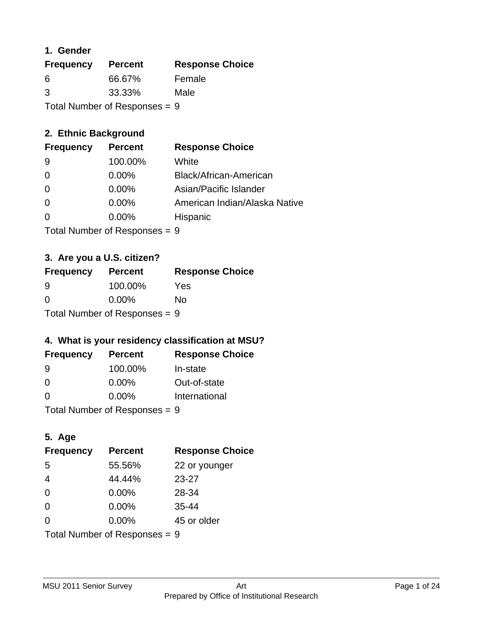#### **1. Gender**

| <b>Frequency</b>                | <b>Percent</b> | <b>Response Choice</b> |
|---------------------------------|----------------|------------------------|
| 6                               | 66.67%         | Female                 |
| 3                               | 33.33%         | Male                   |
| Total Number of Responses = $9$ |                |                        |

## **2. Ethnic Background**

| <b>Frequency</b> | <b>Percent</b> | <b>Response Choice</b>        |
|------------------|----------------|-------------------------------|
| 9                | 100.00%        | White                         |
| $\Omega$         | $0.00\%$       | Black/African-American        |
| $\Omega$         | $0.00\%$       | Asian/Pacific Islander        |
| $\Omega$         | 0.00%          | American Indian/Alaska Native |
|                  | 0.00%          | Hispanic                      |
|                  |                |                               |

Total Number of Responses = 9

## **3. Are you a U.S. citizen?**

| <b>Frequency</b>                | <b>Percent</b> | <b>Response Choice</b> |
|---------------------------------|----------------|------------------------|
| 9                               | 100.00%        | Yes                    |
| $\Omega$                        | $0.00\%$       | Nο                     |
| Total Number of Responses = $9$ |                |                        |

## **4. What is your residency classification at MSU?**

| <b>Frequency</b> | <b>Percent</b> | <b>Response Choice</b> |
|------------------|----------------|------------------------|
| 9                | 100.00%        | In-state               |
| $\Omega$         | $0.00\%$       | Out-of-state           |
| $\Omega$         | $0.00\%$       | International          |
|                  |                |                        |

Total Number of Responses = 9

## **5. Age**

| <b>Frequency</b>              | <b>Percent</b> | <b>Response Choice</b> |
|-------------------------------|----------------|------------------------|
| 5                             | 55.56%         | 22 or younger          |
| $\overline{4}$                | 44.44%         | $23 - 27$              |
| $\Omega$                      | $0.00\%$       | 28-34                  |
| $\Omega$                      | $0.00\%$       | $35 - 44$              |
| $\Omega$                      | 0.00%          | 45 or older            |
| Total Number of Responses = 9 |                |                        |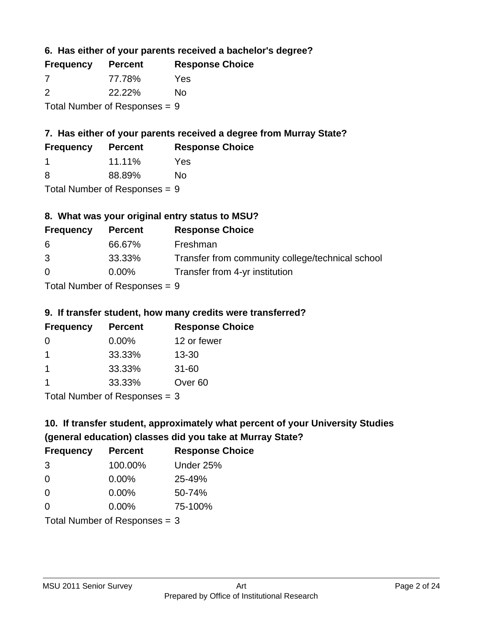**6. Has either of your parents received a bachelor's degree?**

| <b>Frequency</b> | <b>Percent</b>                  | <b>Response Choice</b> |
|------------------|---------------------------------|------------------------|
| -7               | 77.78%                          | Yes                    |
| $\mathcal{P}$    | 22.22%                          | No                     |
|                  | Total Number of Responses = $9$ |                        |

## **7. Has either of your parents received a degree from Murray State?**

| <b>Frequency</b> | <b>Percent</b> | <b>Response Choice</b> |
|------------------|----------------|------------------------|
|                  | 11.11%         | Yes                    |
|                  |                |                        |

8 88.89% No

Total Number of Responses = 9

## **8. What was your original entry status to MSU?**

| <b>Frequency</b> | <b>Percent</b>                | <b>Response Choice</b>                           |
|------------------|-------------------------------|--------------------------------------------------|
| 6                | 66.67%                        | Freshman                                         |
| 3                | 33.33%                        | Transfer from community college/technical school |
| $\Omega$         | $0.00\%$                      | Transfer from 4-yr institution                   |
|                  | Tatal Mussolian of Dannamarca |                                                  |

Total Number of Responses = 9

## **9. If transfer student, how many credits were transferred?**

| <b>Frequency</b>              | <b>Percent</b> | <b>Response Choice</b> |
|-------------------------------|----------------|------------------------|
| - 0                           | $0.00\%$       | 12 or fewer            |
|                               | 33.33%         | $13 - 30$              |
| 1                             | 33.33%         | $31 - 60$              |
|                               | 33.33%         | Over <sub>60</sub>     |
| $Total Number of Doepopoog -$ |                |                        |

I otal Number of Responses  $=$  3

# **10. If transfer student, approximately what percent of your University Studies (general education) classes did you take at Murray State?**

| <b>Frequency</b> | <b>Percent</b>                  | <b>Response Choice</b> |
|------------------|---------------------------------|------------------------|
| 3                | 100.00%                         | Under 25%              |
| $\Omega$         | $0.00\%$                        | 25-49%                 |
| $\Omega$         | $0.00\%$                        | 50-74%                 |
| 0                | 0.00%                           | 75-100%                |
|                  | Total Number of Responses $=$ 3 |                        |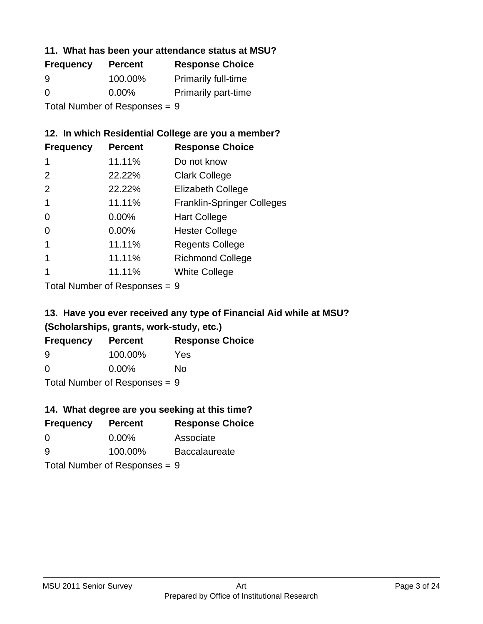#### **11. What has been your attendance status at MSU?**

| <b>Frequency</b>              | <b>Percent</b> | <b>Response Choice</b>     |
|-------------------------------|----------------|----------------------------|
| 9                             | 100.00%        | <b>Primarily full-time</b> |
| $\Omega$                      | $0.00\%$       | <b>Primarily part-time</b> |
| Total Number of Responses = 9 |                |                            |

## **12. In which Residential College are you a member?**

| <b>Frequency</b> | <b>Percent</b> | <b>Response Choice</b>            |
|------------------|----------------|-----------------------------------|
| 1                | 11.11%         | Do not know                       |
| $\mathcal{P}$    | 22.22%         | <b>Clark College</b>              |
| 2                | 22.22%         | <b>Elizabeth College</b>          |
| 1                | 11.11%         | <b>Franklin-Springer Colleges</b> |
| 0                | 0.00%          | <b>Hart College</b>               |
| 0                | 0.00%          | <b>Hester College</b>             |
|                  | 11.11%         | <b>Regents College</b>            |
|                  | 11.11%         | <b>Richmond College</b>           |
|                  | 11.11%         | <b>White College</b>              |
|                  |                |                                   |

Total Number of Responses = 9

# **13. Have you ever received any type of Financial Aid while at MSU? (Scholarships, grants, work-study, etc.)**

| <b>Frequency</b>               | <b>Percent</b> | <b>Response Choice</b> |
|--------------------------------|----------------|------------------------|
| 9                              | 100.00%        | Yes                    |
| 0                              | $0.00\%$       | No.                    |
| $Total Number of Denonose = 0$ |                |                        |

Total Number of Responses = 9

## **14. What degree are you seeking at this time?**

| <b>Frequency</b> | <b>Percent</b>                  | <b>Response Choice</b> |
|------------------|---------------------------------|------------------------|
| $\overline{0}$   | $0.00\%$                        | Associate              |
| 9                | 100.00%                         | <b>Baccalaureate</b>   |
|                  | Total Number of Responses $= 9$ |                        |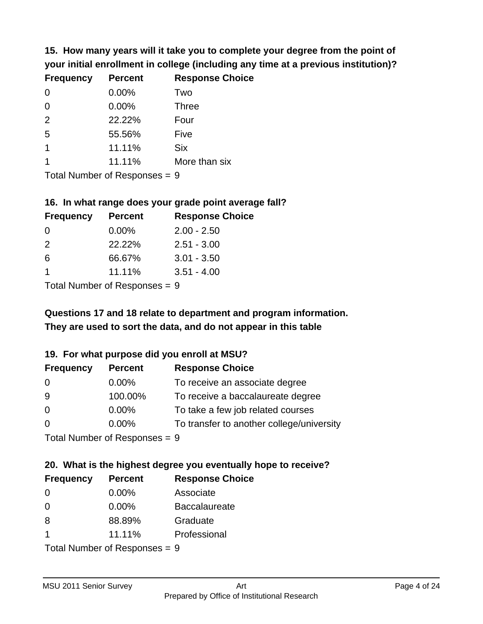**15. How many years will it take you to complete your degree from the point of your initial enrollment in college (including any time at a previous institution)?**

| <b>Frequency</b> | <b>Percent</b> | <b>Response Choice</b> |
|------------------|----------------|------------------------|
| $\Omega$         | 0.00%          | Two                    |
| 0                | 0.00%          | <b>Three</b>           |
| 2                | 22.22%         | Four                   |
| 5                | 55.56%         | Five                   |
|                  | 11.11%         | <b>Six</b>             |
|                  | 11.11%         | More than six          |
|                  |                |                        |

Total Number of Responses = 9

#### **16. In what range does your grade point average fall?**

| <b>Frequency</b> | <b>Percent</b> | <b>Response Choice</b> |
|------------------|----------------|------------------------|
| 0                | $0.00\%$       | $2.00 - 2.50$          |
| $\mathcal{P}$    | 22.22%         | $2.51 - 3.00$          |
| 6                | 66.67%         | $3.01 - 3.50$          |
|                  | 11.11%         | $3.51 - 4.00$          |
|                  |                |                        |

Total Number of Responses = 9

# **They are used to sort the data, and do not appear in this table Questions 17 and 18 relate to department and program information.**

#### **19. For what purpose did you enroll at MSU?**

| <b>Frequency</b>            | <b>Percent</b> | <b>Response Choice</b>                    |
|-----------------------------|----------------|-------------------------------------------|
| 0                           | $0.00\%$       | To receive an associate degree            |
| 9                           | 100.00%        | To receive a baccalaureate degree         |
| $\overline{0}$              | $0.00\%$       | To take a few job related courses         |
| $\Omega$                    | 0.00%          | To transfer to another college/university |
| Total Number of Despesses 0 |                |                                           |

Total Number of Responses = 9

# **20. What is the highest degree you eventually hope to receive?**

| <b>Frequency</b> | <b>Percent</b>             | <b>Response Choice</b> |
|------------------|----------------------------|------------------------|
| 0                | 0.00%                      | Associate              |
| $\Omega$         | 0.00%                      | <b>Baccalaureate</b>   |
| 8                | 88.89%                     | Graduate               |
|                  | 11.11%                     | Professional           |
|                  | Total Number of Deepersoon |                        |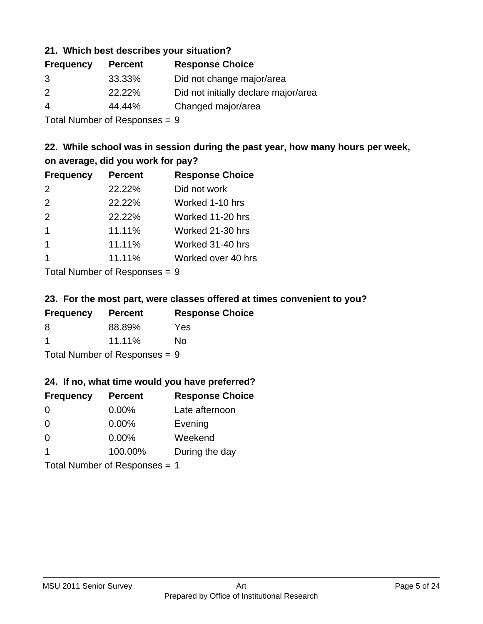#### **21. Which best describes your situation?**

| <b>Percent</b> | <b>Response Choice</b>               |
|----------------|--------------------------------------|
| 33.33%         | Did not change major/area            |
| 22.22%         | Did not initially declare major/area |
| 44.44%         | Changed major/area                   |
|                |                                      |

Total Number of Responses = 9

## **22. While school was in session during the past year, how many hours per week, on average, did you work for pay?**

| <b>Frequency</b> | <b>Percent</b> | <b>Response Choice</b> |
|------------------|----------------|------------------------|
| 2                | 22.22%         | Did not work           |
| 2                | 22.22%         | Worked 1-10 hrs        |
| 2                | 22.22%         | Worked 11-20 hrs       |
| 1                | 11.11%         | Worked 21-30 hrs       |
| 1                | 11.11%         | Worked 31-40 hrs       |
|                  | 11.11%         | Worked over 40 hrs     |
|                  |                |                        |

Total Number of Responses = 9

#### **23. For the most part, were classes offered at times convenient to you?**

| <b>Frequency</b>                | <b>Percent</b> | <b>Response Choice</b> |
|---------------------------------|----------------|------------------------|
| 8                               | 88.89%         | Yes                    |
| -1                              | 11.11%         | Nο                     |
| Total Number of Responses = $9$ |                |                        |

#### **24. If no, what time would you have preferred?**

| <b>Frequency</b>     | <b>Percent</b>                | <b>Response Choice</b> |
|----------------------|-------------------------------|------------------------|
| $\Omega$             | 0.00%                         | Late afternoon         |
| $\Omega$             | 0.00%                         | Evening                |
| 0                    | $0.00\%$                      | Weekend                |
| $\blacktriangleleft$ | 100.00%                       | During the day         |
|                      | Total Number of Responses = 1 |                        |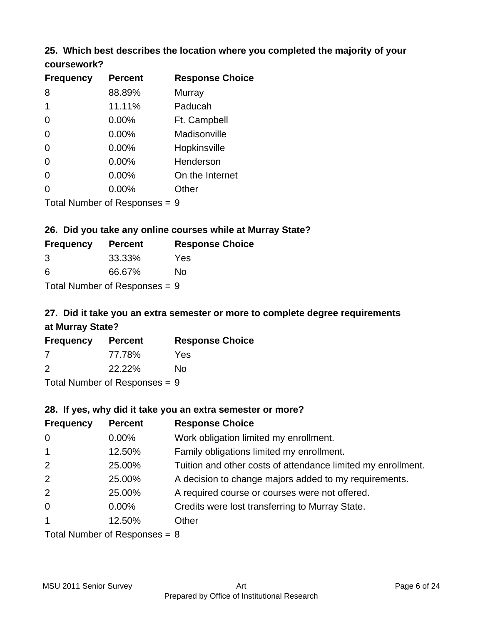#### **25. Which best describes the location where you completed the majority of your coursework?**

| <b>Frequency</b>           | <b>Percent</b> | <b>Response Choice</b> |
|----------------------------|----------------|------------------------|
| 8                          | 88.89%         | <b>Murray</b>          |
| 1                          | 11.11%         | Paducah                |
| 0                          | 0.00%          | Ft. Campbell           |
| $\overline{0}$             | 0.00%          | Madisonville           |
| $\overline{0}$             | 0.00%          | Hopkinsville           |
| 0                          | 0.00%          | Henderson              |
| $\overline{0}$             | 0.00%          | On the Internet        |
| 0                          | 0.00%          | Other                  |
| Total Number of Deepersoon |                | C                      |

Total Number of Responses = 9

## **26. Did you take any online courses while at Murray State?**

| <b>Frequency</b>                | <b>Percent</b> | <b>Response Choice</b> |
|---------------------------------|----------------|------------------------|
| -3                              | 33.33%         | Yes                    |
| -6                              | 66.67%         | Nο                     |
| Total Number of Responses $= 9$ |                |                        |

# **27. Did it take you an extra semester or more to complete degree requirements at Murray State?**

| <b>Frequency</b> | <b>Percent</b> | <b>Response Choice</b> |
|------------------|----------------|------------------------|
| -7               | 77.78%         | Yes                    |
| 2                | 22.22%         | No                     |
| - - -            |                |                        |

Total Number of Responses = 9

#### **28. If yes, why did it take you an extra semester or more?**

| <b>Frequency</b> | <b>Percent</b>                  | <b>Response Choice</b>                                       |
|------------------|---------------------------------|--------------------------------------------------------------|
| $\overline{0}$   | $0.00\%$                        | Work obligation limited my enrollment.                       |
| $\overline{1}$   | 12.50%                          | Family obligations limited my enrollment.                    |
| 2                | 25.00%                          | Tuition and other costs of attendance limited my enrollment. |
| 2                | 25.00%                          | A decision to change majors added to my requirements.        |
| 2                | 25.00%                          | A required course or courses were not offered.               |
| $\overline{0}$   | $0.00\%$                        | Credits were lost transferring to Murray State.              |
| $\mathbf{1}$     | 12.50%                          | Other                                                        |
|                  | Total Number of Reconnect $-$ 8 |                                                              |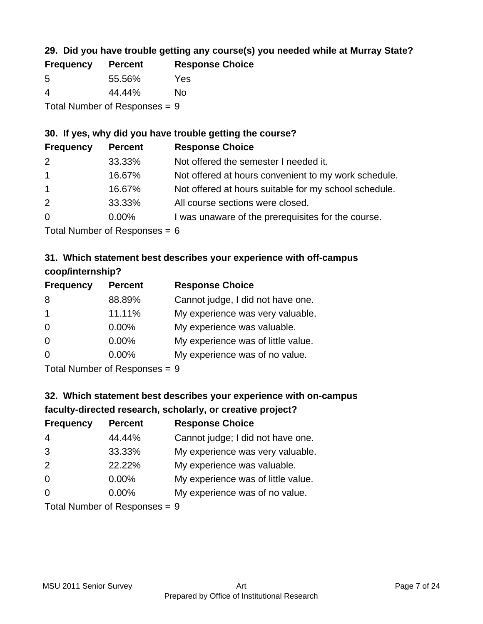## **29. Did you have trouble getting any course(s) you needed while at Murray State?**

| <b>Frequency</b> | <b>Percent</b>                  | <b>Response Choice</b> |
|------------------|---------------------------------|------------------------|
| -5               | 55.56%                          | Yes                    |
| -4               | 44.44%                          | Nο                     |
|                  | Total Number of Responses $= 9$ |                        |

## **30. If yes, why did you have trouble getting the course?**

| <b>Frequency</b> | <b>Percent</b> | <b>Response Choice</b>                                |
|------------------|----------------|-------------------------------------------------------|
| 2                | 33.33%         | Not offered the semester I needed it.                 |
| $\overline{1}$   | 16.67%         | Not offered at hours convenient to my work schedule.  |
| $\overline{1}$   | 16.67%         | Not offered at hours suitable for my school schedule. |
| 2                | 33.33%         | All course sections were closed.                      |
| $\overline{0}$   | $0.00\%$       | I was unaware of the prerequisites for the course.    |
|                  |                |                                                       |

Total Number of Responses  $= 6$ 

## **31. Which statement best describes your experience with off-campus coop/internship?**

| <b>Frequency</b> | <b>Percent</b> | <b>Response Choice</b>             |
|------------------|----------------|------------------------------------|
| 8                | 88.89%         | Cannot judge, I did not have one.  |
| $\mathbf 1$      | 11.11%         | My experience was very valuable.   |
| $\Omega$         | 0.00%          | My experience was valuable.        |
| $\Omega$         | 0.00%          | My experience was of little value. |
| $\Omega$         | 0.00%          | My experience was of no value.     |
|                  |                |                                    |

Total Number of Responses = 9

# **32. Which statement best describes your experience with on-campus faculty-directed research, scholarly, or creative project?**

| <b>Frequency</b> | <b>Percent</b>            | <b>Response Choice</b>             |
|------------------|---------------------------|------------------------------------|
| $\overline{4}$   | 44.44%                    | Cannot judge; I did not have one.  |
| 3                | 33.33%                    | My experience was very valuable.   |
| 2                | 22.22%                    | My experience was valuable.        |
| $\Omega$         | $0.00\%$                  | My experience was of little value. |
| $\Omega$         | 0.00%                     | My experience was of no value.     |
|                  | Total Number of Desponses |                                    |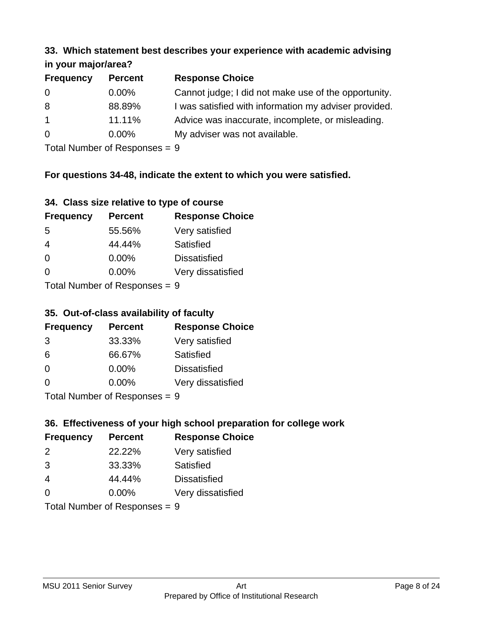#### **33. Which statement best describes your experience with academic advising in your major/area?**

| $\mathbf{u}$ yvu $\mathbf{u}$ yvu $\mathbf{u}$ |                |                                                       |
|------------------------------------------------|----------------|-------------------------------------------------------|
| <b>Frequency</b>                               | <b>Percent</b> | <b>Response Choice</b>                                |
| 0                                              | $0.00\%$       | Cannot judge; I did not make use of the opportunity.  |
| 8                                              | 88.89%         | I was satisfied with information my adviser provided. |
| $\mathbf{1}$                                   | 11.11%         | Advice was inaccurate, incomplete, or misleading.     |
| $\overline{0}$                                 | $0.00\%$       | My adviser was not available.                         |
|                                                |                |                                                       |

Total Number of Responses = 9

## **For questions 34-48, indicate the extent to which you were satisfied.**

| 34. Class size relative to type of course |  |  |  |  |  |  |  |  |
|-------------------------------------------|--|--|--|--|--|--|--|--|
|-------------------------------------------|--|--|--|--|--|--|--|--|

| <b>Frequency</b>                | <b>Percent</b> | <b>Response Choice</b> |  |
|---------------------------------|----------------|------------------------|--|
| -5                              | 55.56%         | Very satisfied         |  |
| 4                               | 44.44%         | Satisfied              |  |
| $\Omega$                        | 0.00%          | <b>Dissatisfied</b>    |  |
| 0                               | 0.00%          | Very dissatisfied      |  |
| Total Number of Poenonces $= 0$ |                |                        |  |

Total Number of Responses = 9

#### **35. Out-of-class availability of faculty**

| <b>Frequency</b>          | <b>Percent</b> | <b>Response Choice</b> |
|---------------------------|----------------|------------------------|
| 3                         | 33.33%         | Very satisfied         |
| 6                         | 66.67%         | Satisfied              |
| $\Omega$                  | $0.00\%$       | <b>Dissatisfied</b>    |
| $\Omega$                  | 0.00%          | Very dissatisfied      |
| Total Number of Deepensee |                |                        |

Total Number of Responses = 9

## **36. Effectiveness of your high school preparation for college work**

| <b>Frequency</b> | <b>Percent</b>                  | <b>Response Choice</b> |
|------------------|---------------------------------|------------------------|
| $\mathcal{P}$    | 22.22%                          | Very satisfied         |
| 3                | 33.33%                          | Satisfied              |
| 4                | 44.44%                          | <b>Dissatisfied</b>    |
| $\Omega$         | 0.00%                           | Very dissatisfied      |
|                  | Total Number of Responses = $9$ |                        |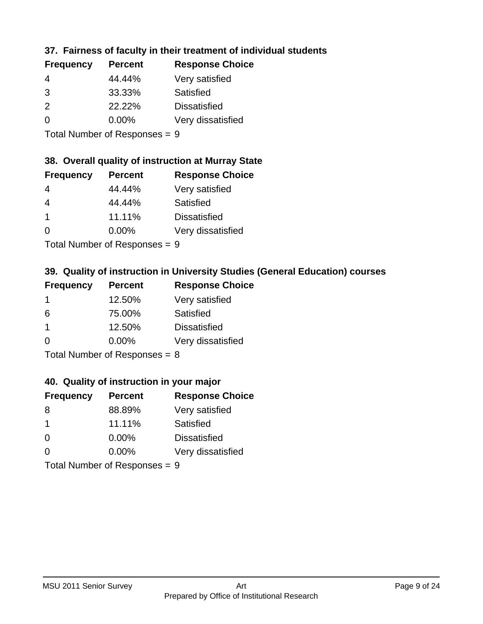## **37. Fairness of faculty in their treatment of individual students**

| <b>Frequency</b> | <b>Percent</b> | <b>Response Choice</b> |
|------------------|----------------|------------------------|
| 4                | 44.44%         | Very satisfied         |
| 3                | 33.33%         | Satisfied              |
| 2                | 22.22%         | <b>Dissatisfied</b>    |
| $\Omega$         | $0.00\%$       | Very dissatisfied      |
|                  |                |                        |

Total Number of Responses = 9

#### **38. Overall quality of instruction at Murray State**

| <b>Frequency</b> | <b>Percent</b> | <b>Response Choice</b> |
|------------------|----------------|------------------------|
| 4                | 44.44%         | Very satisfied         |
| $\overline{4}$   | 44.44%         | Satisfied              |
| $\overline{1}$   | 11.11%         | <b>Dissatisfied</b>    |
| $\Omega$         | 0.00%          | Very dissatisfied      |
|                  |                |                        |

Total Number of Responses = 9

## **39. Quality of instruction in University Studies (General Education) courses**

| <b>Frequency</b> | <b>Percent</b>                                                                                                 | <b>Response Choice</b> |
|------------------|----------------------------------------------------------------------------------------------------------------|------------------------|
|                  | 12.50%                                                                                                         | Very satisfied         |
| 6                | 75.00%                                                                                                         | Satisfied              |
|                  | 12.50%                                                                                                         | <b>Dissatisfied</b>    |
| $\Omega$         | 0.00%                                                                                                          | Very dissatisfied      |
|                  | The INDIAN Contract Contract in the Contract of Contract of Contract of Contract of Contract of Contract of Co |                        |

Total Number of Responses = 8

#### **40. Quality of instruction in your major**

| <b>Frequency</b>          | <b>Percent</b> | <b>Response Choice</b> |
|---------------------------|----------------|------------------------|
| 8                         | 88.89%         | Very satisfied         |
| -1                        | 11.11%         | Satisfied              |
| $\Omega$                  | $0.00\%$       | <b>Dissatisfied</b>    |
| $\Omega$                  | 0.00%          | Very dissatisfied      |
| Total Number of Deepensee |                |                        |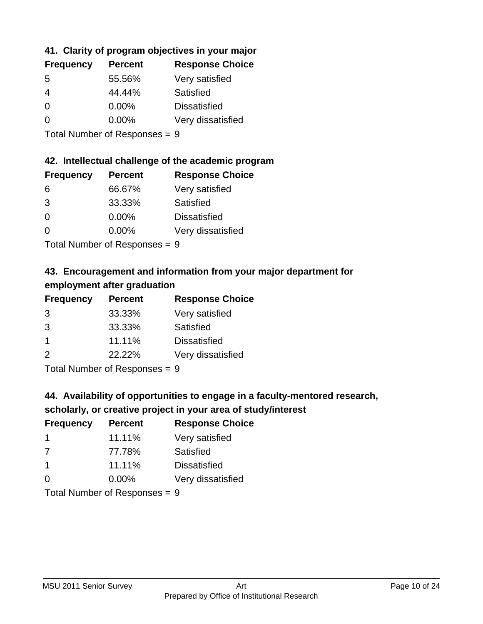## **41. Clarity of program objectives in your major**

| <b>Frequency</b> | <b>Percent</b> | <b>Response Choice</b> |
|------------------|----------------|------------------------|
| .5               | 55.56%         | Very satisfied         |
| 4                | 44.44%         | Satisfied              |
| $\Omega$         | $0.00\%$       | <b>Dissatisfied</b>    |
| ∩                | $0.00\%$       | Very dissatisfied      |
|                  |                |                        |

Total Number of Responses = 9

#### **42. Intellectual challenge of the academic program**

| <b>Frequency</b> | <b>Percent</b> | <b>Response Choice</b> |
|------------------|----------------|------------------------|
| 6                | 66.67%         | Very satisfied         |
| 3                | 33.33%         | Satisfied              |
| $\Omega$         | 0.00%          | <b>Dissatisfied</b>    |
| $\Omega$         | 0.00%          | Very dissatisfied      |
|                  |                |                        |

Total Number of Responses = 9

## **43. Encouragement and information from your major department for employment after graduation**

| <b>Frequency</b>     | <b>Percent</b> | <b>Response Choice</b> |
|----------------------|----------------|------------------------|
| 3                    | 33.33%         | Very satisfied         |
| 3                    | 33.33%         | Satisfied              |
| $\blacktriangleleft$ | 11.11%         | <b>Dissatisfied</b>    |
| 2                    | 22.22%         | Very dissatisfied      |
|                      |                |                        |

Total Number of Responses = 9

## **44. Availability of opportunities to engage in a faculty-mentored research,**

#### **scholarly, or creative project in your area of study/interest**

| <b>Frequency</b> | <b>Percent</b> | <b>Response Choice</b> |
|------------------|----------------|------------------------|
|                  | 11.11%         | Very satisfied         |
| 7                | 77.78%         | Satisfied              |
| $\overline{1}$   | 11.11%         | <b>Dissatisfied</b>    |
| $\Omega$         | 0.00%          | Very dissatisfied      |
|                  |                |                        |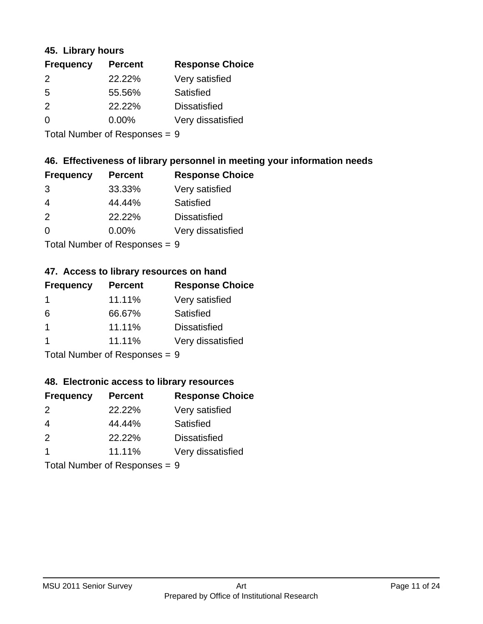#### **45. Library hours**

| <b>Frequency</b> | <b>Percent</b> | <b>Response Choice</b> |
|------------------|----------------|------------------------|
| $\mathcal{P}$    | 22.22%         | Very satisfied         |
| 5                | 55.56%         | Satisfied              |
| $\mathcal{P}$    | 22.22%         | <b>Dissatisfied</b>    |
| $\Omega$         | $0.00\%$       | Very dissatisfied      |
|                  |                |                        |

Total Number of Responses = 9

## **46. Effectiveness of library personnel in meeting your information needs**

| <b>Frequency</b> | <b>Percent</b> | <b>Response Choice</b> |
|------------------|----------------|------------------------|
| 3                | 33.33%         | Very satisfied         |
| 4                | 44.44%         | Satisfied              |
| $\mathcal{P}$    | 22.22%         | <b>Dissatisfied</b>    |
| $\Omega$         | $0.00\%$       | Very dissatisfied      |
|                  |                |                        |

Total Number of Responses = 9

## **47. Access to library resources on hand**

| <b>Frequency</b> | <b>Percent</b>                         | <b>Response Choice</b> |
|------------------|----------------------------------------|------------------------|
|                  | 11.11%                                 | Very satisfied         |
| 6                | 66.67%                                 | Satisfied              |
|                  | 11.11%                                 | <b>Dissatisfied</b>    |
|                  | 11.11%                                 | Very dissatisfied      |
|                  | $\mathbf{r}$ . The set of $\mathbf{r}$ |                        |

Total Number of Responses  $= 9$ 

#### **48. Electronic access to library resources**

| <b>Frequency</b>              | <b>Percent</b> | <b>Response Choice</b> |
|-------------------------------|----------------|------------------------|
| $\mathcal{P}$                 | 22.22%         | Very satisfied         |
| 4                             | 44.44%         | Satisfied              |
| 2                             | 22.22%         | <b>Dissatisfied</b>    |
| -1                            | 11.11%         | Very dissatisfied      |
| Total Number of Responses = 9 |                |                        |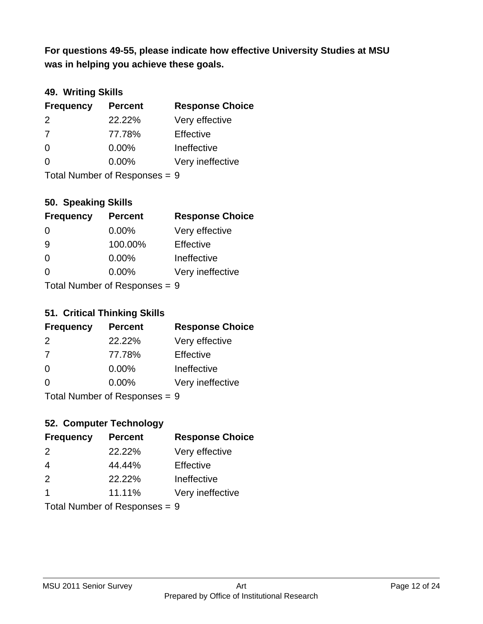**was in helping you achieve these goals. For questions 49-55, please indicate how effective University Studies at MSU** 

## **49. Writing Skills**

| <b>Frequency</b>              | <b>Percent</b> | <b>Response Choice</b> |
|-------------------------------|----------------|------------------------|
| $\mathcal{P}$                 | 22.22%         | Very effective         |
| 7                             | 77.78%         | Effective              |
| $\Omega$                      | $0.00\%$       | Ineffective            |
| $\Omega$                      | $0.00\%$       | Very ineffective       |
| Total Number of Responses = 9 |                |                        |

## **50. Speaking Skills**

| <b>Frequency</b>           | <b>Percent</b> | <b>Response Choice</b> |
|----------------------------|----------------|------------------------|
| $\Omega$                   | 0.00%          | Very effective         |
| -9                         | 100.00%        | Effective              |
| $\Omega$                   | 0.00%          | Ineffective            |
| 0                          | 0.00%          | Very ineffective       |
| Total Number of Denonone – |                |                        |

Total Number of Responses = 9

#### **51. Critical Thinking Skills**

| <b>Frequency</b> | <b>Percent</b>            | <b>Response Choice</b> |
|------------------|---------------------------|------------------------|
| $\mathcal{P}$    | 22.22%                    | Very effective         |
| 7                | 77.78%                    | Effective              |
| $\Omega$         | 0.00%                     | Ineffective            |
| $\Omega$         | 0.00%                     | Very ineffective       |
|                  | Total Number of Desperace |                        |

Total Number of Responses = 9

## **52. Computer Technology**

| <b>Frequency</b>              | <b>Percent</b> | <b>Response Choice</b> |
|-------------------------------|----------------|------------------------|
| $\mathcal{P}$                 | 22.22%         | Very effective         |
| $\overline{4}$                | 44.44%         | Effective              |
| 2                             | 22.22%         | Ineffective            |
| -1                            | 11.11%         | Very ineffective       |
| Total Number of Responses = 9 |                |                        |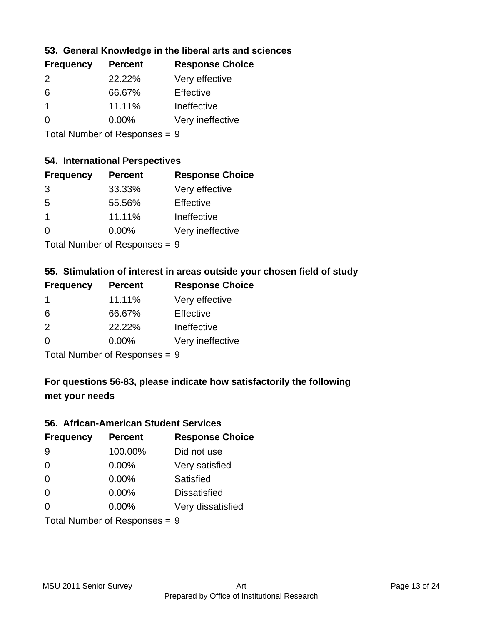## **53. General Knowledge in the liberal arts and sciences**

| <b>Frequency</b> | <b>Percent</b> | <b>Response Choice</b> |
|------------------|----------------|------------------------|
| $\mathcal{P}$    | 22.22%         | Very effective         |
| 6                | 66.67%         | Effective              |
|                  | 11.11%         | Ineffective            |
| ∩                | $0.00\%$       | Very ineffective       |
|                  |                |                        |

Total Number of Responses = 9

### **54. International Perspectives**

| <b>Frequency</b> | <b>Percent</b> | <b>Response Choice</b> |
|------------------|----------------|------------------------|
| 3                | 33.33%         | Very effective         |
| -5               | 55.56%         | Effective              |
| 1                | 11.11%         | Ineffective            |
| ∩                | 0.00%          | Very ineffective       |
|                  |                |                        |

Total Number of Responses = 9

## **55. Stimulation of interest in areas outside your chosen field of study**

| <b>Frequency</b> | <b>Percent</b>                 | <b>Response Choice</b> |
|------------------|--------------------------------|------------------------|
|                  | 11.11%                         | Very effective         |
| 6                | 66.67%                         | Effective              |
| 2                | 22.22%                         | Ineffective            |
| $\Omega$         | 0.00%                          | Very ineffective       |
|                  | Tatal Manufacture Construction |                        |

Total Number of Responses = 9

## **For questions 56-83, please indicate how satisfactorily the following met your needs**

#### **56. African-American Student Services**

| <b>Frequency</b> | <b>Percent</b>                | <b>Response Choice</b> |
|------------------|-------------------------------|------------------------|
| 9                | 100.00%                       | Did not use            |
| $\Omega$         | 0.00%                         | Very satisfied         |
| $\Omega$         | 0.00%                         | Satisfied              |
| $\Omega$         | 0.00%                         | <b>Dissatisfied</b>    |
| $\Omega$         | $0.00\%$                      | Very dissatisfied      |
|                  | Total Number of Responses = 9 |                        |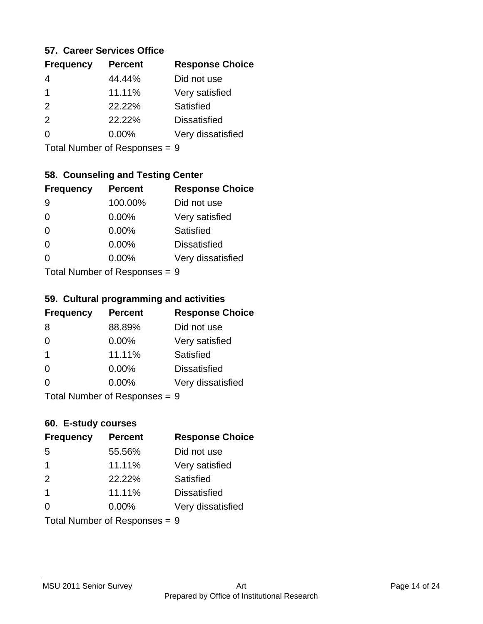#### **57. Career Services Office**

| <b>Frequency</b> | <b>Percent</b> | <b>Response Choice</b> |
|------------------|----------------|------------------------|
|                  | 44.44%         | Did not use            |
| 1                | 11.11%         | Very satisfied         |
| 2                | 22.22%         | Satisfied              |
| $\mathcal{P}$    | 22.22%         | <b>Dissatisfied</b>    |
|                  | $0.00\%$       | Very dissatisfied      |
|                  |                |                        |

Total Number of Responses = 9

## **58. Counseling and Testing Center**

| <b>Frequency</b>          | <b>Percent</b> | <b>Response Choice</b> |
|---------------------------|----------------|------------------------|
| 9                         | 100.00%        | Did not use            |
| 0                         | 0.00%          | Very satisfied         |
| $\Omega$                  | 0.00%          | <b>Satisfied</b>       |
| $\Omega$                  | 0.00%          | <b>Dissatisfied</b>    |
| 0                         | $0.00\%$       | Very dissatisfied      |
| Total Number of Desponses |                |                        |

Total Number of Responses = 9

#### **59. Cultural programming and activities**

| <b>Frequency</b>                | <b>Percent</b> | <b>Response Choice</b> |
|---------------------------------|----------------|------------------------|
| 8                               | 88.89%         | Did not use            |
| $\Omega$                        | $0.00\%$       | Very satisfied         |
| $\mathbf 1$                     | 11.11%         | Satisfied              |
| $\Omega$                        | $0.00\%$       | <b>Dissatisfied</b>    |
| $\Omega$                        | $0.00\%$       | Very dissatisfied      |
| Total Number of Responses $= 9$ |                |                        |

## **60. E-study courses**

| <b>Frequency</b> | <b>Percent</b>                | <b>Response Choice</b> |
|------------------|-------------------------------|------------------------|
| 5                | 55.56%                        | Did not use            |
| $\mathbf 1$      | 11.11%                        | Very satisfied         |
| 2                | 22.22%                        | Satisfied              |
| $\mathbf{1}$     | 11.11%                        | <b>Dissatisfied</b>    |
| $\Omega$         | $0.00\%$                      | Very dissatisfied      |
|                  | Total Number of Responses = 9 |                        |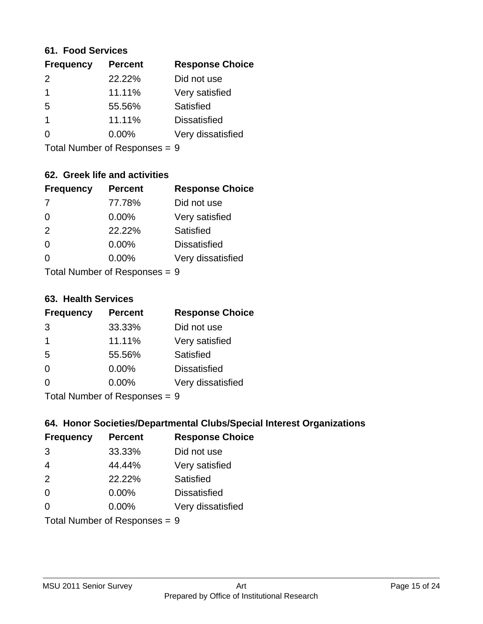#### **61. Food Services**

| <b>Frequency</b> | <b>Percent</b> | <b>Response Choice</b> |
|------------------|----------------|------------------------|
| $\mathcal{P}$    | 22.22%         | Did not use            |
|                  | 11.11%         | Very satisfied         |
| 5                | 55.56%         | Satisfied              |
|                  | 11.11%         | <b>Dissatisfied</b>    |
| ∩                | 0.00%          | Very dissatisfied      |
|                  |                |                        |

Total Number of Responses = 9

## **62. Greek life and activities**

| <b>Frequency</b>                | <b>Percent</b> | <b>Response Choice</b> |
|---------------------------------|----------------|------------------------|
|                                 | 77.78%         | Did not use            |
| $\Omega$                        | 0.00%          | Very satisfied         |
| 2                               | 22.22%         | Satisfied              |
| $\Omega$                        | 0.00%          | <b>Dissatisfied</b>    |
| 0                               | 0.00%          | Very dissatisfied      |
| Total Number of Poenonces $= 0$ |                |                        |

I otal Number of Responses = 9

#### **63. Health Services**

| <b>Frequency</b> | <b>Percent</b> | <b>Response Choice</b> |
|------------------|----------------|------------------------|
| 3                | 33.33%         | Did not use            |
| 1                | 11.11%         | Very satisfied         |
| 5                | 55.56%         | Satisfied              |
| $\Omega$         | 0.00%          | <b>Dissatisfied</b>    |
| $\Omega$         | 0.00%          | Very dissatisfied      |
|                  |                |                        |

Total Number of Responses = 9

#### **64. Honor Societies/Departmental Clubs/Special Interest Organizations**

| <b>Frequency</b> | <b>Percent</b>                | <b>Response Choice</b> |
|------------------|-------------------------------|------------------------|
| 3                | 33.33%                        | Did not use            |
| $\overline{4}$   | 44.44%                        | Very satisfied         |
| 2                | 22.22%                        | <b>Satisfied</b>       |
| 0                | $0.00\%$                      | <b>Dissatisfied</b>    |
| $\Omega$         | 0.00%                         | Very dissatisfied      |
|                  | Total Number of Responses = 9 |                        |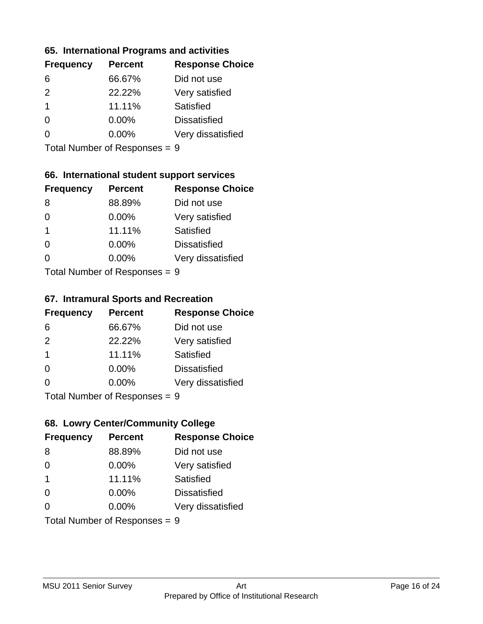#### **65. International Programs and activities**

| <b>Frequency</b> | <b>Percent</b> | <b>Response Choice</b> |
|------------------|----------------|------------------------|
| 6                | 66.67%         | Did not use            |
| $\mathcal{P}$    | 22.22%         | Very satisfied         |
| $\overline{1}$   | 11.11%         | Satisfied              |
| 0                | 0.00%          | <b>Dissatisfied</b>    |
|                  | 0.00%          | Very dissatisfied      |
|                  |                |                        |

Total Number of Responses = 9

## **66. International student support services**

| <b>Frequency</b>          | <b>Percent</b> | <b>Response Choice</b> |
|---------------------------|----------------|------------------------|
| 8                         | 88.89%         | Did not use            |
| 0                         | 0.00%          | Very satisfied         |
| 1                         | 11.11%         | Satisfied              |
| ∩                         | 0.00%          | <b>Dissatisfied</b>    |
| ∩                         | 0.00%          | Very dissatisfied      |
| Total Number of Desponses |                |                        |

Total Number of Responses = 9

#### **67. Intramural Sports and Recreation**

| <b>Frequency</b>          | <b>Percent</b> | <b>Response Choice</b> |
|---------------------------|----------------|------------------------|
| 6                         | 66.67%         | Did not use            |
| 2                         | 22.22%         | Very satisfied         |
| $\overline{1}$            | 11.11%         | <b>Satisfied</b>       |
| $\Omega$                  | 0.00%          | <b>Dissatisfied</b>    |
| ∩                         | 0.00%          | Very dissatisfied      |
| Total Number of Deepensee |                |                        |

Total Number of Responses = 9

## **68. Lowry Center/Community College**

| <b>Frequency</b>                | <b>Percent</b> | <b>Response Choice</b> |
|---------------------------------|----------------|------------------------|
| 8                               | 88.89%         | Did not use            |
| $\Omega$                        | 0.00%          | Very satisfied         |
| $\overline{1}$                  | 11.11%         | Satisfied              |
| $\Omega$                        | $0.00\%$       | <b>Dissatisfied</b>    |
| $\Omega$                        | 0.00%          | Very dissatisfied      |
| Total Number of Responses = $9$ |                |                        |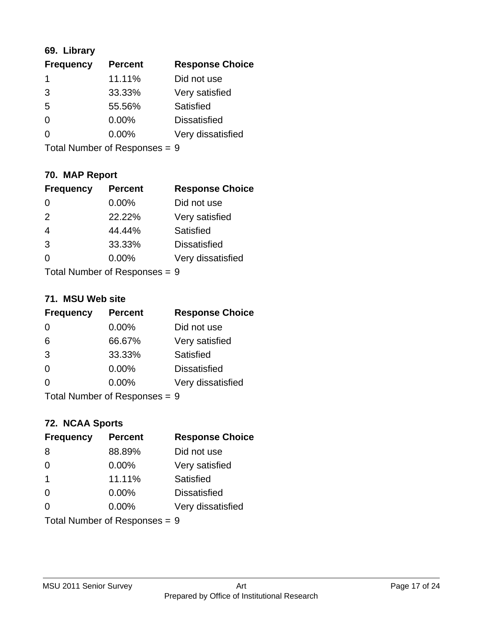## **69. Library**

| <b>Frequency</b> | <b>Percent</b> | <b>Response Choice</b> |
|------------------|----------------|------------------------|
| 1                | 11.11%         | Did not use            |
| 3                | 33.33%         | Very satisfied         |
| 5                | 55.56%         | Satisfied              |
| 0                | $0.00\%$       | <b>Dissatisfied</b>    |
| 0                | $0.00\%$       | Very dissatisfied      |
|                  |                |                        |

Total Number of Responses = 9

## **70. MAP Report**

| <b>Frequency</b>              | <b>Percent</b> | <b>Response Choice</b> |
|-------------------------------|----------------|------------------------|
| $\Omega$                      | 0.00%          | Did not use            |
| 2                             | 22.22%         | Very satisfied         |
| $\overline{4}$                | 44.44%         | Satisfied              |
| 3                             | 33.33%         | <b>Dissatisfied</b>    |
| 0                             | $0.00\%$       | Very dissatisfied      |
| Total Number of Responses = 9 |                |                        |

#### **71. MSU Web site**

| <b>Frequency</b>              | <b>Percent</b> | <b>Response Choice</b> |
|-------------------------------|----------------|------------------------|
| $\Omega$                      | 0.00%          | Did not use            |
| 6                             | 66.67%         | Very satisfied         |
| 3                             | 33.33%         | <b>Satisfied</b>       |
| $\Omega$                      | 0.00%          | <b>Dissatisfied</b>    |
| ∩                             | 0.00%          | Very dissatisfied      |
| Total Number of Responses = 9 |                |                        |

#### **72. NCAA Sports**

| <b>Frequency</b>              | <b>Percent</b> | <b>Response Choice</b> |
|-------------------------------|----------------|------------------------|
| 8                             | 88.89%         | Did not use            |
| $\Omega$                      | 0.00%          | Very satisfied         |
| -1                            | 11.11%         | Satisfied              |
| $\Omega$                      | 0.00%          | <b>Dissatisfied</b>    |
| ∩                             | $0.00\%$       | Very dissatisfied      |
| Total Number of Responses = 9 |                |                        |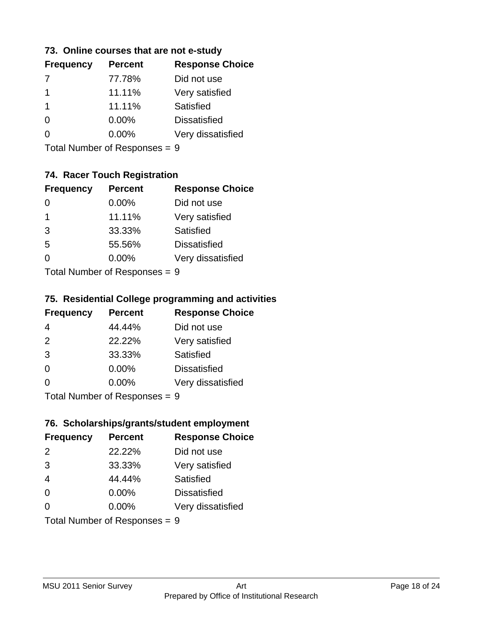#### **73. Online courses that are not e-study**

| <b>Response Choice</b> |
|------------------------|
|                        |
|                        |
|                        |
|                        |
| Very dissatisfied      |
|                        |

Total Number of Responses = 9

## **74. Racer Touch Registration**

| <b>Frequency</b>           | <b>Percent</b> | <b>Response Choice</b> |  |
|----------------------------|----------------|------------------------|--|
| $\Omega$                   | 0.00%          | Did not use            |  |
| 1                          | 11.11%         | Very satisfied         |  |
| 3                          | 33.33%         | Satisfied              |  |
| 5                          | 55.56%         | <b>Dissatisfied</b>    |  |
| 0                          | 0.00%          | Very dissatisfied      |  |
| Total Number of Deepersoon |                |                        |  |

Total Number of Responses = 9

## **75. Residential College programming and activities**

| <b>Frequency</b>          | <b>Percent</b> | <b>Response Choice</b> |
|---------------------------|----------------|------------------------|
| 4                         | 44.44%         | Did not use            |
| 2                         | 22.22%         | Very satisfied         |
| 3                         | 33.33%         | Satisfied              |
| $\Omega$                  | 0.00%          | <b>Dissatisfied</b>    |
| $\Omega$                  | 0.00%          | Very dissatisfied      |
| Total Number of Desponses |                |                        |

Total Number of Responses = 9

## **76. Scholarships/grants/student employment**

| <b>Frequency</b>              | <b>Percent</b> | <b>Response Choice</b> |
|-------------------------------|----------------|------------------------|
| $\mathcal{P}$                 | 22.22%         | Did not use            |
| 3                             | 33.33%         | Very satisfied         |
| $\overline{4}$                | 44.44%         | Satisfied              |
| $\Omega$                      | 0.00%          | <b>Dissatisfied</b>    |
| $\Omega$                      | 0.00%          | Very dissatisfied      |
| Total Number of Responses = 9 |                |                        |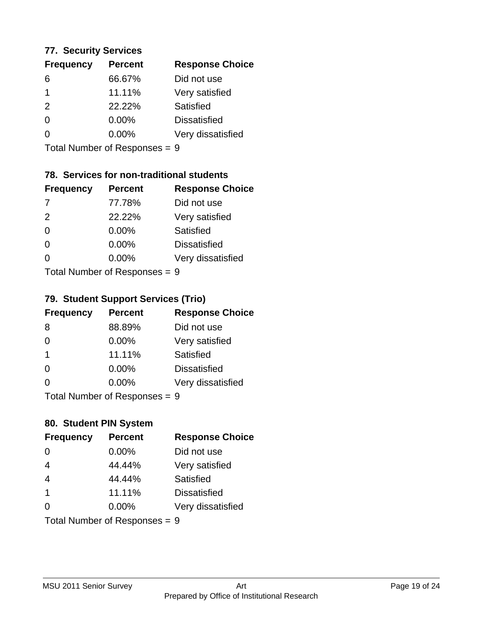#### **77. Security Services**

| <b>Frequency</b> | <b>Percent</b> | <b>Response Choice</b> |
|------------------|----------------|------------------------|
| 6                | 66.67%         | Did not use            |
|                  | 11.11%         | Very satisfied         |
| 2                | 22.22%         | Satisfied              |
| 0                | 0.00%          | <b>Dissatisfied</b>    |
| O                | $0.00\%$       | Very dissatisfied      |
|                  |                |                        |

Total Number of Responses = 9

## **78. Services for non-traditional students**

| <b>Frequency</b>          | <b>Percent</b> | <b>Response Choice</b> |
|---------------------------|----------------|------------------------|
| -7                        | 77.78%         | Did not use            |
| 2                         | 22.22%         | Very satisfied         |
| $\Omega$                  | 0.00%          | <b>Satisfied</b>       |
| $\Omega$                  | 0.00%          | <b>Dissatisfied</b>    |
| ∩                         | 0.00%          | Very dissatisfied      |
| Total Number of Doopepooo |                |                        |

Total Number of Responses = 9

## **79. Student Support Services (Trio)**

| <b>Frequency</b>          | <b>Percent</b> | <b>Response Choice</b> |
|---------------------------|----------------|------------------------|
| -8                        | 88.89%         | Did not use            |
| $\Omega$                  | $0.00\%$       | Very satisfied         |
| $\overline{\mathbf{1}}$   | 11.11%         | <b>Satisfied</b>       |
| $\Omega$                  | $0.00\%$       | <b>Dissatisfied</b>    |
| ∩                         | 0.00%          | Very dissatisfied      |
| Total Number of Desponses |                |                        |

Total Number of Responses = 9

## **80. Student PIN System**

| <b>Frequency</b>              | <b>Percent</b> | <b>Response Choice</b> |
|-------------------------------|----------------|------------------------|
| $\Omega$                      | 0.00%          | Did not use            |
| $\overline{4}$                | 44.44%         | Very satisfied         |
| $\overline{4}$                | 44.44%         | Satisfied              |
| $\overline{\mathbf{1}}$       | 11.11%         | <b>Dissatisfied</b>    |
| $\Omega$                      | 0.00%          | Very dissatisfied      |
| Total Number of Responses = 9 |                |                        |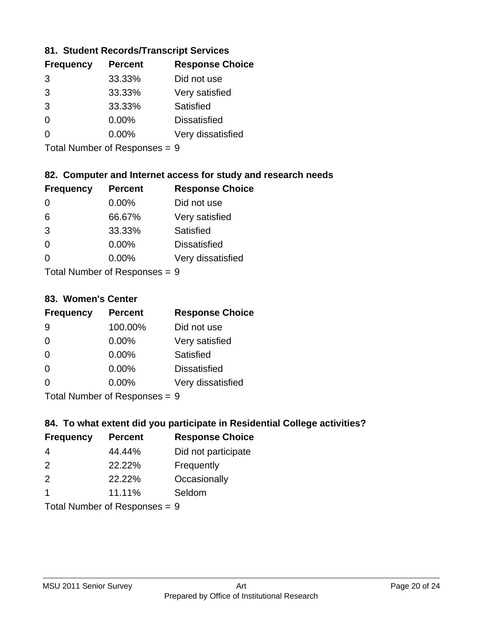#### **81. Student Records/Transcript Services**

| <b>Percent</b> | <b>Response Choice</b> |
|----------------|------------------------|
| 33.33%         | Did not use            |
| 33.33%         | Very satisfied         |
| 33.33%         | Satisfied              |
| 0.00%          | <b>Dissatisfied</b>    |
| $0.00\%$       | Very dissatisfied      |
|                |                        |

Total Number of Responses = 9

## **82. Computer and Internet access for study and research needs**

| <b>Frequency</b>          | <b>Percent</b> | <b>Response Choice</b> |
|---------------------------|----------------|------------------------|
| 0                         | 0.00%          | Did not use            |
| 6                         | 66.67%         | Very satisfied         |
| 3                         | 33.33%         | Satisfied              |
| $\Omega$                  | 0.00%          | <b>Dissatisfied</b>    |
| ∩                         | 0.00%          | Very dissatisfied      |
| Tatal Manakan af Dagmanna |                |                        |

Total Number of Responses = 9

#### **83. Women's Center**

| <b>Frequency</b>           | <b>Percent</b> | <b>Response Choice</b> |
|----------------------------|----------------|------------------------|
| 9                          | 100.00%        | Did not use            |
| $\Omega$                   | $0.00\%$       | Very satisfied         |
| $\Omega$                   | $0.00\%$       | Satisfied              |
| $\Omega$                   | $0.00\%$       | <b>Dissatisfied</b>    |
| ∩                          | $0.00\%$       | Very dissatisfied      |
| Total Number of Deepersoon |                |                        |

Total Number of Responses = 9

#### **84. To what extent did you participate in Residential College activities?**

| <b>Frequency</b> | <b>Percent</b> | <b>Response Choice</b> |
|------------------|----------------|------------------------|
| -4               | 44.44%         | Did not participate    |
| $\mathcal{P}$    | 22.22%         | Frequently             |
| $\mathcal{P}$    | 22.22%         | Occasionally           |
|                  | 11.11%         | Seldom                 |
|                  |                |                        |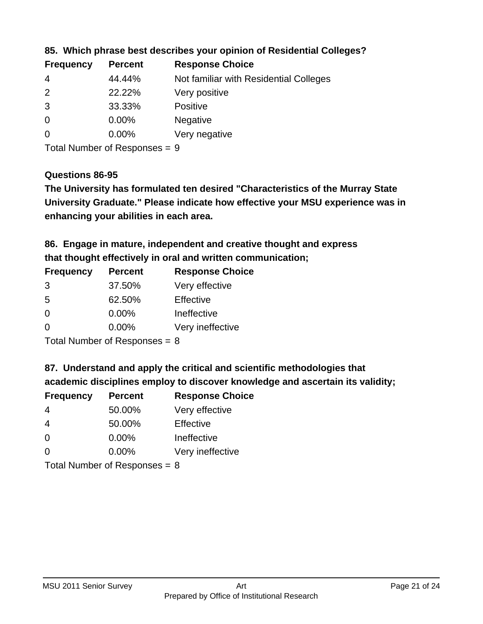| <b>Frequency</b> | <b>Percent</b> | <b>Response Choice</b>                 |
|------------------|----------------|----------------------------------------|
| -4               | 44.44%         | Not familiar with Residential Colleges |
| 2                | 22.22%         | Very positive                          |
| 3                | 33.33%         | <b>Positive</b>                        |
| $\overline{0}$   | 0.00%          | <b>Negative</b>                        |
| -0               | $0.00\%$       | Very negative                          |
|                  |                |                                        |

**85. Which phrase best describes your opinion of Residential Colleges?**

Total Number of Responses = 9

#### **Questions 86-95**

**University Graduate." Please indicate how effective your MSU experience was in The University has formulated ten desired "Characteristics of the Murray State enhancing your abilities in each area.**

**86. Engage in mature, independent and creative thought and express that thought effectively in oral and written communication;**

| <b>Percent</b> | <b>Response Choice</b> |
|----------------|------------------------|
| 37.50%         | Very effective         |
| 62.50%         | Effective              |
| $0.00\%$       | Ineffective            |
| 0.00%          | Very ineffective       |
|                |                        |

Total Number of Responses = 8

**87. Understand and apply the critical and scientific methodologies that** 

**academic disciplines employ to discover knowledge and ascertain its validity;**

| <b>Frequency</b> | <b>Percent</b> | <b>Response Choice</b> |
|------------------|----------------|------------------------|
| $\overline{4}$   | 50.00%         | Very effective         |
| 4                | 50.00%         | Effective              |
| $\Omega$         | 0.00%          | Ineffective            |
| $\Omega$         | 0.00%          | Very ineffective       |
|                  |                |                        |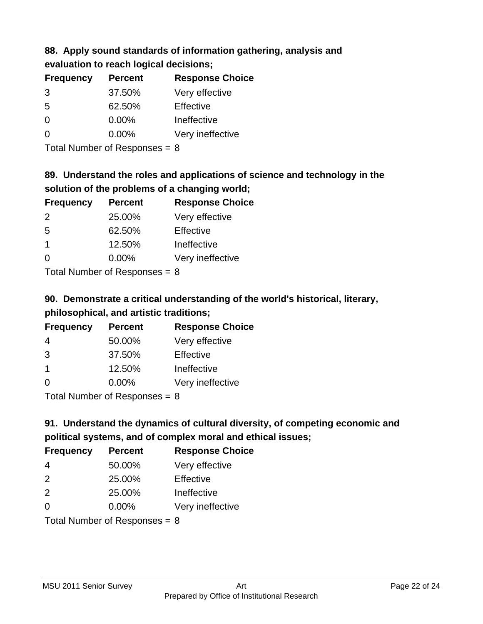# **88. Apply sound standards of information gathering, analysis and**

|  |  | evaluation to reach logical decisions; |
|--|--|----------------------------------------|
|  |  |                                        |

| <b>Percent</b> | <b>Response Choice</b> |
|----------------|------------------------|
| 37.50%         | Very effective         |
| 62.50%         | Effective              |
| $0.00\%$       | Ineffective            |
| $0.00\%$       | Very ineffective       |
|                |                        |

Total Number of Responses = 8

# **89. Understand the roles and applications of science and technology in the solution of the problems of a changing world;**

| <b>Frequency</b> | <b>Percent</b>                                                                                                 | <b>Response Choice</b> |
|------------------|----------------------------------------------------------------------------------------------------------------|------------------------|
| $\mathcal{P}$    | 25.00%                                                                                                         | Very effective         |
| .5               | 62.50%                                                                                                         | Effective              |
| -1               | 12.50%                                                                                                         | Ineffective            |
| $\Omega$         | 0.00%                                                                                                          | Very ineffective       |
|                  | The INDIAN Contract Contract in the Contract of Contract of Contract of Contract of Contract of Contract of Co |                        |

Total Number of Responses  $= 8$ 

# **90. Demonstrate a critical understanding of the world's historical, literary, philosophical, and artistic traditions;**

| <b>Frequency</b> | <b>Percent</b> | <b>Response Choice</b> |
|------------------|----------------|------------------------|
| 4                | 50.00%         | Very effective         |
| 3                | 37.50%         | Effective              |
| $\mathbf 1$      | 12.50%         | Ineffective            |
| $\Omega$         | 0.00%          | Very ineffective       |
|                  |                |                        |

Total Number of Responses = 8

# **91. Understand the dynamics of cultural diversity, of competing economic and political systems, and of complex moral and ethical issues;**

| <b>Frequency</b>                | <b>Percent</b> | <b>Response Choice</b> |
|---------------------------------|----------------|------------------------|
| $\overline{4}$                  | 50.00%         | Very effective         |
| 2                               | 25.00%         | Effective              |
| 2                               | 25.00%         | Ineffective            |
| $\Omega$                        | 0.00%          | Very ineffective       |
| Total Number of Responses = $8$ |                |                        |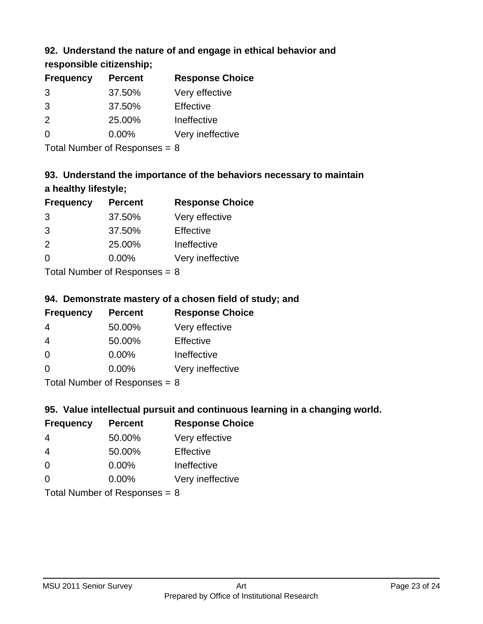## **92. Understand the nature of and engage in ethical behavior and**

## **responsible citizenship;**

| <b>Frequency</b> | <b>Percent</b> | <b>Response Choice</b> |
|------------------|----------------|------------------------|
| 3                | 37.50%         | Very effective         |
| 3                | 37.50%         | Effective              |
| $\mathcal{P}$    | 25.00%         | Ineffective            |
| n                | $0.00\%$       | Very ineffective       |
|                  |                |                        |

Total Number of Responses = 8

# **93. Understand the importance of the behaviors necessary to maintain a healthy lifestyle;**

| <b>Frequency</b> | <b>Percent</b>                                                                                                 | <b>Response Choice</b> |
|------------------|----------------------------------------------------------------------------------------------------------------|------------------------|
| 3                | 37.50%                                                                                                         | Very effective         |
| 3                | 37.50%                                                                                                         | Effective              |
| 2                | 25.00%                                                                                                         | Ineffective            |
| $\Omega$         | 0.00%                                                                                                          | Very ineffective       |
|                  | The INDIAN Contract Contract in the Contract of Contract of Contract of Contract of Contract of Contract of Co |                        |

Total Number of Responses = 8

## **94. Demonstrate mastery of a chosen field of study; and**

| <b>Frequency</b> | <b>Percent</b> | <b>Response Choice</b> |
|------------------|----------------|------------------------|
| 4                | 50.00%         | Very effective         |
| 4                | 50.00%         | Effective              |
| $\Omega$         | $0.00\%$       | Ineffective            |
| 0                | $0.00\%$       | Very ineffective       |
|                  |                |                        |

Total Number of Responses = 8

## **95. Value intellectual pursuit and continuous learning in a changing world.**

| <b>Frequency</b> | <b>Percent</b>                                                                                                                                                                                                                 | <b>Response Choice</b> |
|------------------|--------------------------------------------------------------------------------------------------------------------------------------------------------------------------------------------------------------------------------|------------------------|
| 4                | 50.00%                                                                                                                                                                                                                         | Very effective         |
| 4                | 50.00%                                                                                                                                                                                                                         | Effective              |
| $\Omega$         | 0.00%                                                                                                                                                                                                                          | Ineffective            |
| $\Omega$         | 0.00%                                                                                                                                                                                                                          | Very ineffective       |
|                  | The Little and the Little Communist Communist Communist Communist Communist Communist Communist Communist Communist Communist Communist Communist Communist Communist Communist Communist Communist Communist Communist Commun |                        |